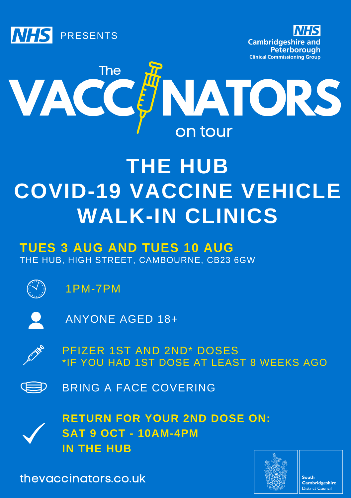





# **THE HUB COVID-19 VACCINE VEHICLE WALK-IN CLINICS**

### THE HUB, HIGH STREET, CAMBOURNE, CB23 6GW **TUES 3 AUG AND TUES 10 AUG**

1PM-7PM

ANYONE AGED 18+



PFIZER 1ST AND 2ND\* DOSES \*IF YOU HAD 1ST DOSE AT LEAST 8 WEEKS AGO

BRING A FACE COVERING (E=D



thevaccinators.co.uk



South **Cambridgeshire** District Council